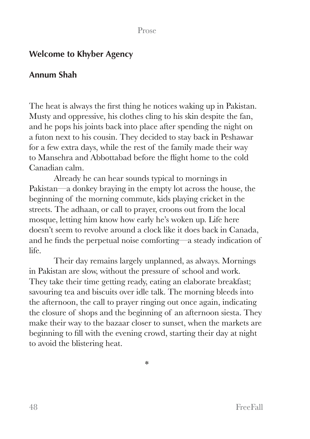## Prose

## **Welcome to Khyber Agency**

## **Annum Shah**

The heat is always the first thing he notices waking up in Pakistan. Musty and oppressive, his clothes cling to his skin despite the fan, and he pops his joints back into place after spending the night on a futon next to his cousin. They decided to stay back in Peshawar for a few extra days, while the rest of the family made their way to Mansehra and Abbottabad before the flight home to the cold Canadian calm.

Already he can hear sounds typical to mornings in Pakistan—a donkey braying in the empty lot across the house, the beginning of the morning commute, kids playing cricket in the streets. The adhaan, or call to prayer, croons out from the local mosque, letting him know how early he's woken up. Life here doesn't seem to revolve around a clock like it does back in Canada, and he finds the perpetual noise comforting—a steady indication of life.

Their day remains largely unplanned, as always. Mornings in Pakistan are slow, without the pressure of school and work. They take their time getting ready, eating an elaborate breakfast; savouring tea and biscuits over idle talk. The morning bleeds into the afternoon, the call to prayer ringing out once again, indicating the closure of shops and the beginning of an afternoon siesta. They make their way to the bazaar closer to sunset, when the markets are beginning to fill with the evening crowd, starting their day at night to avoid the blistering heat.

\*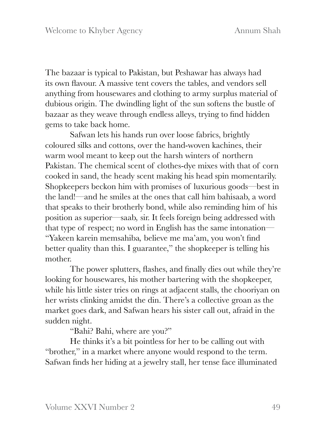The bazaar is typical to Pakistan, but Peshawar has always had its own flavour. A massive tent covers the tables, and vendors sell anything from housewares and clothing to army surplus material of dubious origin. The dwindling light of the sun softens the bustle of bazaar as they weave through endless alleys, trying to find hidden gems to take back home.

Safwan lets his hands run over loose fabrics, brightly coloured silks and cottons, over the hand-woven kachines, their warm wool meant to keep out the harsh winters of northern Pakistan. The chemical scent of clothes-dye mixes with that of corn cooked in sand, the heady scent making his head spin momentarily. Shopkeepers beckon him with promises of luxurious goods—best in the land!—and he smiles at the ones that call him bahisaab, a word that speaks to their brotherly bond, while also reminding him of his position as superior—saab*,* sir. It feels foreign being addressed with that type of respect; no word in English has the same intonation— "Yakeen karein memsahiba*,* believe me ma'am, you won't find better quality than this. I guarantee," the shopkeeper is telling his mother.

The power splutters, flashes, and finally dies out while they're looking for housewares, his mother bartering with the shopkeeper, while his little sister tries on rings at adjacent stalls, the chooriyan on her wrists clinking amidst the din. There's a collective groan as the market goes dark, and Safwan hears his sister call out, afraid in the sudden night.

"Bahi? Bahi, where are you?"

He thinks it's a bit pointless for her to be calling out with "brother," in a market where anyone would respond to the term. Safwan finds her hiding at a jewelry stall, her tense face illuminated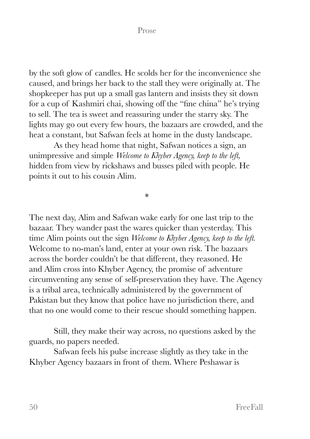Prose

by the soft glow of candles. He scolds her for the inconvenience she caused, and brings her back to the stall they were originally at. The shopkeeper has put up a small gas lantern and insists they sit down for a cup of Kashmiri chai, showing off the "fine china" he's trying to sell. The tea is sweet and reassuring under the starry sky. The lights may go out every few hours, the bazaars are crowded, and the heat a constant, but Safwan feels at home in the dusty landscape.

As they head home that night, Safwan notices a sign, an unimpressive and simple *Welcome to Khyber Agency, keep to the left,*  hidden from view by rickshaws and busses piled with people. He points it out to his cousin Alim.

\*

The next day, Alim and Safwan wake early for one last trip to the bazaar. They wander past the wares quicker than yesterday. This time Alim points out the sign *Welcome to Khyber Agency, keep to the left.* Welcome to no-man's land, enter at your own risk. The bazaars across the border couldn't be that different, they reasoned. He and Alim cross into Khyber Agency, the promise of adventure circumventing any sense of self-preservation they have. The Agency is a tribal area, technically administered by the government of Pakistan but they know that police have no jurisdiction there, and that no one would come to their rescue should something happen.

Still, they make their way across, no questions asked by the guards, no papers needed.

Safwan feels his pulse increase slightly as they take in the Khyber Agency bazaars in front of them. Where Peshawar is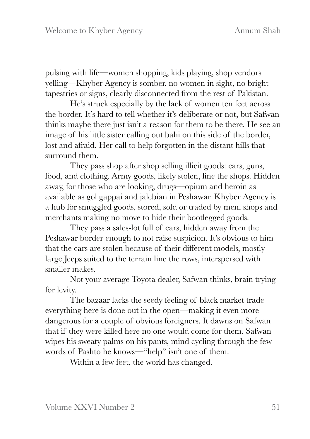pulsing with life—women shopping, kids playing, shop vendors yelling—Khyber Agency is somber, no women in sight, no bright tapestries or signs, clearly disconnected from the rest of Pakistan.

He's struck especially by the lack of women ten feet across the border. It's hard to tell whether it's deliberate or not, but Safwan thinks maybe there just isn't a reason for them to be there. He see an image of his little sister calling out bahi on this side of the border, lost and afraid. Her call to help forgotten in the distant hills that surround them.

They pass shop after shop selling illicit goods: cars, guns, food, and clothing. Army goods, likely stolen, line the shops. Hidden away, for those who are looking, drugs—opium and heroin as available as gol gappai and jalebian in Peshawar. Khyber Agency is a hub for smuggled goods, stored, sold or traded by men, shops and merchants making no move to hide their bootlegged goods.

They pass a sales-lot full of cars, hidden away from the Peshawar border enough to not raise suspicion. It's obvious to him that the cars are stolen because of their different models, mostly large Jeeps suited to the terrain line the rows, interspersed with smaller makes.

Not your average Toyota dealer, Safwan thinks, brain trying for levity.

The bazaar lacks the seedy feeling of black market trade everything here is done out in the open—making it even more dangerous for a couple of obvious foreigners. It dawns on Safwan that if they were killed here no one would come for them. Safwan wipes his sweaty palms on his pants, mind cycling through the few words of Pashto he knows—"help" isn't one of them.

Within a few feet, the world has changed.